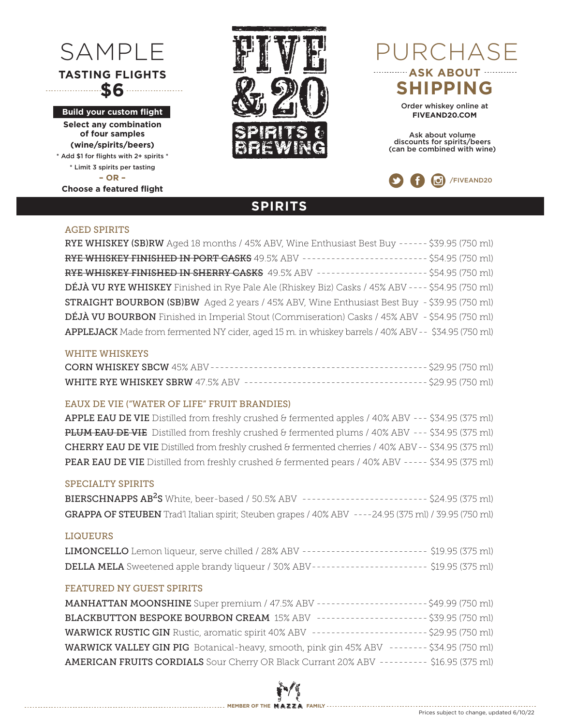# **TASTING FLIGHTS \$6**

**Build your custom flight**

**Select any combination of four samples (wine/spirits/beers)**  \* Add \$1 for flights with 2+ spirits \* \* Limit 3 spirits per tasting **– OR – Choose a featured flight**



## SAMPLE PURCHASE **ASK ABOUT WELL**

**SHIPPING**

Order whiskey online at **FIVEAND20.COM**

Ask about volume discounts for spirits/beers (can be combined with wine)



#### AGED SPIRITS

| RYE WHISKEY (SB)RW Aged 18 months / 45% ABV, Wine Enthusiast Best Buy ------ \$39.95 (750 ml)       |  |
|-----------------------------------------------------------------------------------------------------|--|
| RYE WHISKEY FINISHED IN PORT CASKS 49.5% ABV ------------------------ \$54.95 (750 ml)              |  |
| RYE WHISKEY FINISHED IN SHERRY CASKS 49.5% ABV --------------------- \$54.95 (750 ml)               |  |
| DÉJÀ VU RYE WHISKEY Finished in Rye Pale Ale (Rhiskey Biz) Casks / 45% ABV ---- \$54.95 (750 ml)    |  |
| <b>STRAIGHT BOURBON (SB)BW</b> Aged 2 years / 45% ABV, Wine Enthusiast Best Buy - \$39.95 (750 ml)  |  |
| DÉJÀ VU BOURBON Finished in Imperial Stout (Commiseration) Casks / 45% ABV - \$54.95 (750 ml)       |  |
| APPLEJACK Made from fermented NY cider, aged 15 m. in whiskey barrels / 40% ABV -- \$34.95 (750 ml) |  |

**SPIRITS**

#### WHITE WHISKEYS

#### EAUX DE VIE ("WATER OF LIFE" FRUIT BRANDIES)

APPLE EAU DE VIE Distilled from freshly crushed & fermented apples / 40% ABV --- \$34.95 (375 ml) PLUM EAU DE VIE Distilled from freshly crushed & fermented plums / 40% ABV --- \$34.95 (375 ml) CHERRY EAU DE VIE Distilled from freshly crushed & fermented cherries / 40% ABV - - \$34.95 (375 ml) PEAR EAU DE VIE Distilled from freshly crushed & fermented pears / 40% ABV ----- \$34.95 (375 ml)

#### SPECIALTY SPIRITS

| BIERSCHNAPPS AB <sup>2</sup> S White, beer-based / 50.5% ABV ------------------------ \$24.95 (375 ml) |  |
|--------------------------------------------------------------------------------------------------------|--|
| GRAPPA OF STEUBEN Trad'l Italian spirit; Steuben grapes / 40% ABV ----24.95 (375 ml) / 39.95 (750 ml)  |  |

#### LIQUEURS

| LIMONCELLO Lemon liqueur, serve chilled / 28% ABV ------------------------ \$19.95 (375 ml) |  |
|---------------------------------------------------------------------------------------------|--|
| DELLA MELA Sweetened apple brandy liqueur / 30% ABV ---------------------- \$19.95 (375 ml) |  |

#### FEATURED NY GUEST SPIRITS

| MANHATTAN MOONSHINE Super premium / 47.5% ABV ---------------------\$49.99 (750 ml)        |  |
|--------------------------------------------------------------------------------------------|--|
| BLACKBUTTON BESPOKE BOURBON CREAM 15% ABV ---------------------- \$39.95 (750 ml)          |  |
| WARWICK RUSTIC GIN Rustic, aromatic spirit 40% ABV ----------------------\$29.95 (750 ml)  |  |
| WARWICK VALLEY GIN PIG Botanical-heavy, smooth, pink gin 45% ABV -------- \$34.95 (750 ml) |  |
| AMERICAN FRUITS CORDIALS Sour Cherry OR Black Currant 20% ABV --------- \$16.95 (375 ml)   |  |